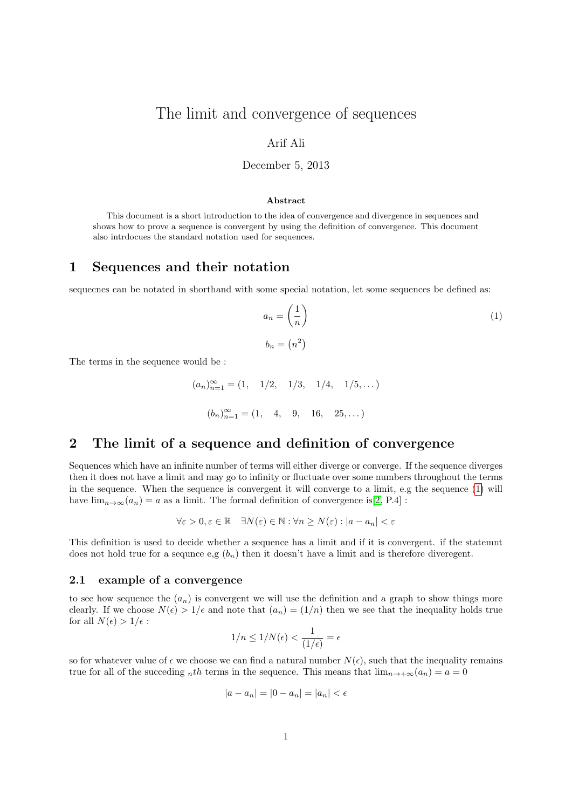# The limit and convergence of sequences

### Arif Ali

### December 5, 2013

#### Abstract

This document is a short introduction to the idea of convergence and divergence in sequences and shows how to prove a sequence is convergent by using the definition of convergence. This document also intrdocues the standard notation used for sequences.

### 1 Sequences and their notation

sequecnes can be notated in shorthand with some special notation, let some sequences be defined as:

<span id="page-0-0"></span>
$$
a_n = \left(\frac{1}{n}\right)
$$
  
\n
$$
b_n = (n^2)
$$
\n(1)

The terms in the sequence would be :

$$
(a_n)_{n=1}^{\infty} = (1, 1/2, 1/3, 1/4, 1/5,...)
$$
  
 $(b_n)_{n=1}^{\infty} = (1, 4, 9, 16, 25,...)$ 

### 2 The limit of a sequence and definition of convergence

Sequences which have an infinite number of terms will either diverge or converge. If the sequence diverges then it does not have a limit and may go to infinity or fluctuate over some numbers throughout the terms in the sequence. When the sequence is convergent it will converge to a limit, e.g the sequence [\(1\)](#page-0-0) will have  $\lim_{n\to\infty}(a_n) = a$  as a limit. The formal definition of convergence is[\[2,](#page-2-0) P.4] :

$$
\forall \varepsilon > 0, \varepsilon \in \mathbb{R} \quad \exists N(\varepsilon) \in \mathbb{N} : \forall n \ge N(\varepsilon) : |a - a_n| < \varepsilon
$$

This definition is used to decide whether a sequence has a limit and if it is convergent. if the statemnt does not hold true for a sequnce e,g  $(b_n)$  then it doesn't have a limit and is therefore divergent.

#### 2.1 example of a convergence

to see how sequence the  $(a_n)$  is convergent we will use the definition and a graph to show things more clearly. If we choose  $N(\epsilon) > 1/\epsilon$  and note that  $(a_n) = (1/n)$  then we see that the inequality holds true for all  $N(\epsilon) > 1/\epsilon$ :

$$
1/n \leq 1/N(\epsilon) < \frac{1}{(1/\epsilon)} = \epsilon
$$

so for whatever value of  $\epsilon$  we choose we can find a natural number  $N(\epsilon)$ , such that the inequality remains true for all of the succeding nth terms in the sequence. This means that  $\lim_{n\to+\infty}(a_n) = a = 0$ 

$$
|a - a_n| = |0 - a_n| = |a_n| < \epsilon
$$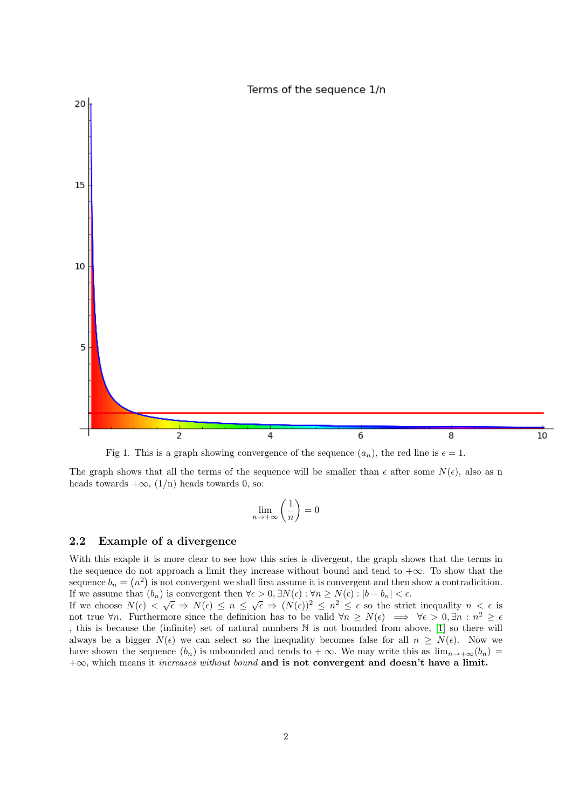

Fig 1. This is a graph showing convergence of the sequence  $(a_n)$ , the red line is  $\epsilon = 1$ .

The graph shows that all the terms of the sequence will be smaller than  $\epsilon$  after some  $N(\epsilon)$ , also as n heads towards  $+\infty$ ,  $(1/n)$  heads towards 0, so:

$$
\lim_{n \to +\infty} \left(\frac{1}{n}\right) = 0
$$

### 2.2 Example of a divergence

With this exaple it is more clear to see how this sries is divergent, the graph shows that the terms in the sequence do not approach a limit they increase without bound and tend to  $+\infty$ . To show that the sequence  $b_n = (n^2)$  is not convergent we shall first assume it is convergent and then show a contradicition. If we assume that  $(b_n)$  is convergent then  $\forall \epsilon > 0, \exists N(\epsilon) : \forall n \ge N(\epsilon) : |b - b_n| < \epsilon$ .

If we choose  $N(\epsilon) < \sqrt{\epsilon} \Rightarrow N(\epsilon) \leq n \leq \sqrt{\epsilon} \Rightarrow (N(\epsilon))^2 \leq n^2 \leq \epsilon$  so the strict inequality  $n < \epsilon$  is not true  $\forall n$ . Furthermore since the definition has to be valid  $\forall n \ge N(\epsilon) \implies \forall \epsilon > 0, \exists n : n^2 \ge \epsilon$ , this is because the (infinite) set of natural numbers N is not bounded from above, [\[1\]](#page-2-1) so there will always be a bigger  $N(\epsilon)$  we can select so the inequality becomes false for all  $n \ge N(\epsilon)$ . Now we have shown the sequence  $(b_n)$  is unbounded and tends to  $+\infty$ . We may write this as  $\lim_{n\to+\infty}(b_n)$  $+\infty$ , which means it *increases without bound* and is not convergent and doesn't have a limit.